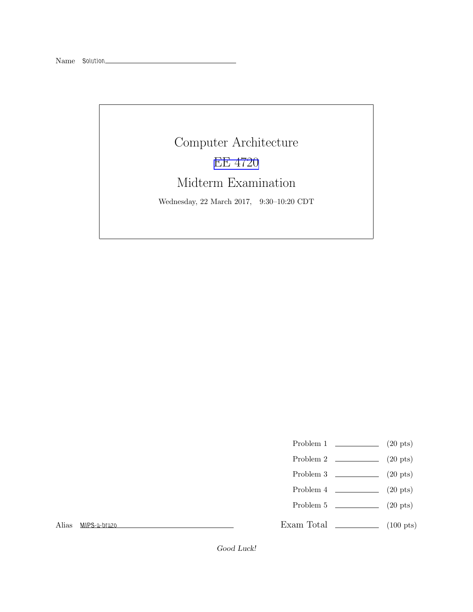# Computer Architecture [EE 4720](http://www.ece.lsu.edu/ee4720/) Midterm Examination Wednesday, 22 March 2017, 9:30–10:20 CDT

- Problem 1  $\qquad \qquad$  (20 pts)
- Problem 2  $\qquad \qquad$  (20 pts)
- Problem 3  $\qquad \qquad (20 \text{ pts})$
- Problem 4  $\qquad \qquad (20 \text{ pts})$
- Problem 5 (20 pts)

Exam Total (100 pts)

Alias MIPS-a-brazo

Good Luck!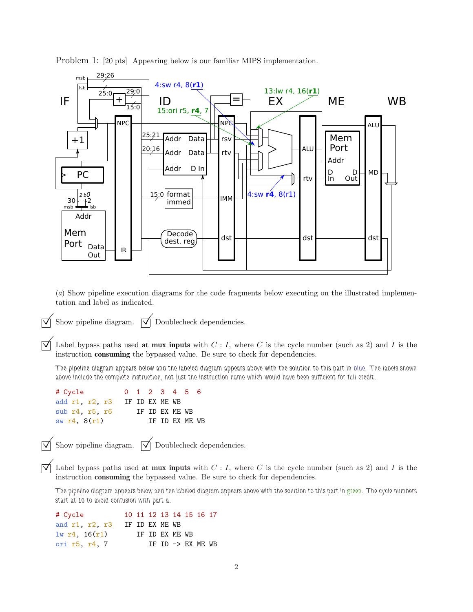



(*a*) Show pipeline execution diagrams for the code fragments below executing on the illustrated implementation and label as indicated.

Show pipeline diagram.  $\overrightarrow{\mathcal{A}}$  Doublecheck dependencies.

Label bypass paths used at mux inputs with  $C: I$ , where C is the cycle number (such as 2) and I is the instruction consuming the bypassed value. Be sure to check for dependencies.

The pipeline diagram appears below and the labeled diagram appears above with the solution to this part in blue. The labels shown above include the complete instruction, not just the instruction name which would have been sufficient for full credit.

| # Cycle                |                |  | 0 1 2 3 4 5 6  |  |  |
|------------------------|----------------|--|----------------|--|--|
| add r1, r2, r3         | IF ID EX ME WB |  |                |  |  |
| sub $r4$ , $r5$ , $r6$ |                |  | IF ID EX ME WB |  |  |
| sw $r4, 8(r1)$         |                |  | IF ID EX ME WB |  |  |

Show pipeline diagram.  $\boxed{\bigvee}$  Doublecheck dependencies.

 $\overrightarrow{\bigvee}$  Label bypass paths used **at mux inputs** with  $C: I$ , where C is the cycle number (such as 2) and I is the instruction consuming the bypassed value. Be sure to check for dependencies.

The pipeline diagram appears below and the labeled diagram appears above with the solution to this part in green. The cycle numbers start at 10 to avoid confusion with part a.

| # Cycle                |                |  |                | 10 11 12 13 14 15 16 17      |  |
|------------------------|----------------|--|----------------|------------------------------|--|
| and $r1$ , $r2$ , $r3$ | IF ID EX ME WB |  |                |                              |  |
| $lw$ r4, 16 $(r1)$     |                |  | IF ID EX ME WB |                              |  |
| ori r5, r4, 7          |                |  |                | IF ID $\rightarrow$ EX ME WB |  |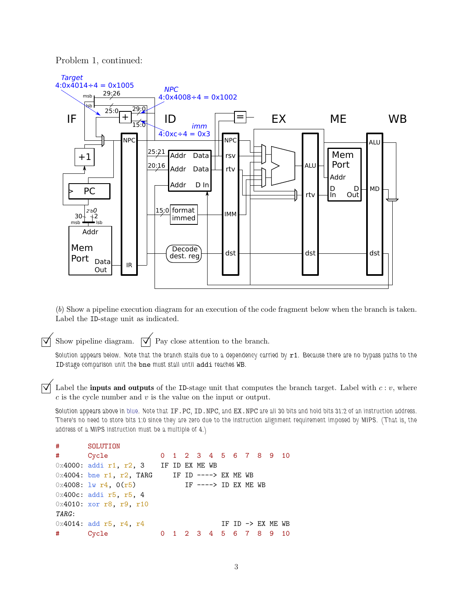Problem 1, continued:



(*b*) Show a pipeline execution diagram for an execution of the code fragment below when the branch is taken. Label the ID-stage unit as indicated.

 $\overrightarrow{\mathsf{q}}$  Show pipeline diagram.  $\overrightarrow{\mathsf{q}}$  Pay close attention to the branch.

Solution appears below. Note that the branch stalls due to a dependency carried by r1. Because there are no bypass paths to the ID-stage comparison unit the bne must stall until addi reaches WB.

 $\overrightarrow{\mathcal{A}}$  Label the **inputs and outputs** of the ID-stage unit that computes the branch target. Label with  $c : v$ , where  $c$  is the cycle number and  $v$  is the value on the input or output.

Solution appears above in blue. Note that IF.PC, ID.NPC, and EX.NPC are all 30 bits and hold bits 31:2 of an instruction address. There's no need to store bits 1:0 since they are zero due to the instruction alignment requirement imposed by MIPS. (That is, the address of a MIPS instruction must be a multiple of 4.)

```
# SOLUTION
# Cycle 0 1 2 3 4 5 6 7 8 9 10
0 \times 4000: addi r1, r2, 3 IF ID EX ME WB
0x4004: bne r1, r2, TARG IF ID ----> EX ME WB
0x4008: \exists w \; r4, \; 0(r5) IF ----> ID EX ME WB
0x400c: addi r5, r5, 4
0x4010: xor r8, r9, r10
TARG:
0x4014: add r5, r4, r4 IF ID -> EX ME WB
# Cycle 0 1 2 3 4 5 6 7 8 9 10
```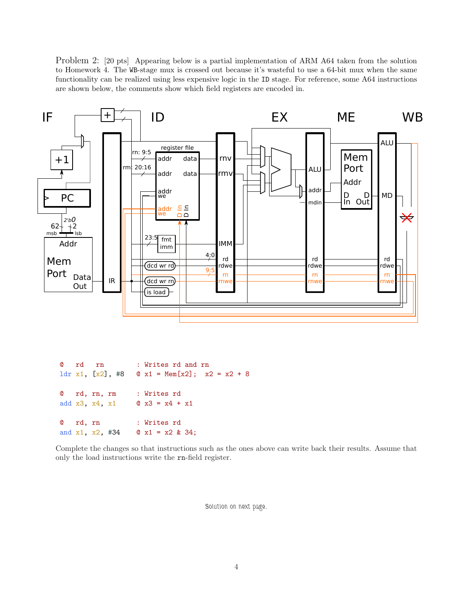Problem 2: [20 pts] Appearing below is a partial implementation of ARM A64 taken from the solution to Homework 4. The WB-stage mux is crossed out because it's wasteful to use a 64-bit mux when the same functionality can be realized using less expensive logic in the ID stage. For reference, some A64 instructions are shown below, the comments show which field registers are encoded in.



@ rd rn : Writes rd and rn 1dr x1,  $[x2]$ , #8  $\infty$  x1 = Mem $[x2]$ ; x2 = x2 + 8 @ rd, rn, rm : Writes rd add x3, x4, x1  $\circ$  x3 = x4 + x1 @ rd, rn : Writes rd and  $x1$ ,  $x2$ ,  $x34$  @  $x1 = x2$  & 34;

Complete the changes so that instructions such as the ones above can write back their results. Assume that only the load instructions write the rn-field register.

Solution on next page.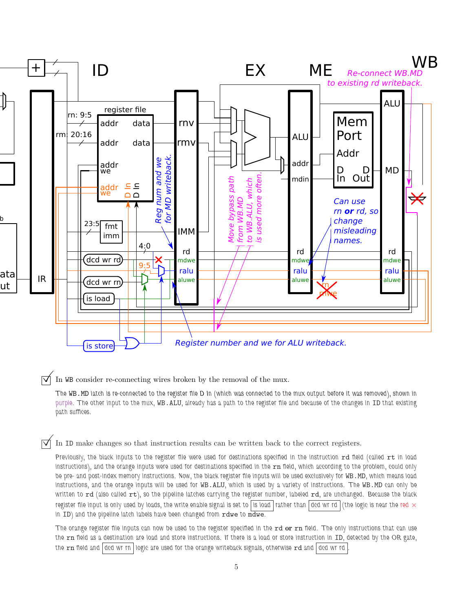

 $\vec{\triangledown}$  In WB consider re-connecting wires broken by the removal of the mux.

The WB.MD latch is re-connected to the register file D In (which was connected to the mux output before it was removed), shown in purple. The other input to the mux, WB.ALU, already has a path to the register file and because of the changes in ID that existing path suffices.

In ID make changes so that instruction results can be written back to the correct registers.

Previously, the black inputs to the register file were used for destinations specified in the instruction rd field (called rt in load instructions), and the orange inputs were used for destinations specified in the  $rn$  field, which according to the problem, could only be pre- and post-index memory instructions. Now, the black register file inputs will be used exclusively for WB.MD, which means load instructions, and the orange inputs will be used for WB.ALU, which is used by a variety of instructions. The WB.MD can only be written to rd (also called rt), so the pipeline latches carrying the register number, labeled rd, are unchanged. Because the black register file input is only used by loads, the write enable signal is set to is load rather than  $\vert$  dcd wr rd  $\vert$  (the logic is near the red  $\times$ in ID) and the pipeline latch labels have been changed from rdwe to mawe.

The orange register file inputs can now be used to the register specified in the rd or rn field. The only instructions that can use the rn field as a destination are load and store instructions. If there is a load or store instruction in ID, detected by the OR gate, the rn field and dcd wr rn logic are used for the orange writeback signals, otherwise rd and dcd wr rd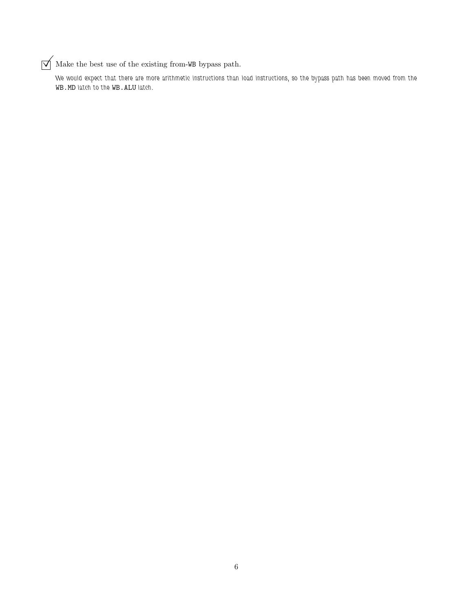## $\sqrt{\phantom{a}}$  Make the best use of the existing from-WB bypass path.

We would expect that there are more arithmetic instructions than load instructions, so the bypass path has been moved from the WB.MD latch to the WB.ALU latch.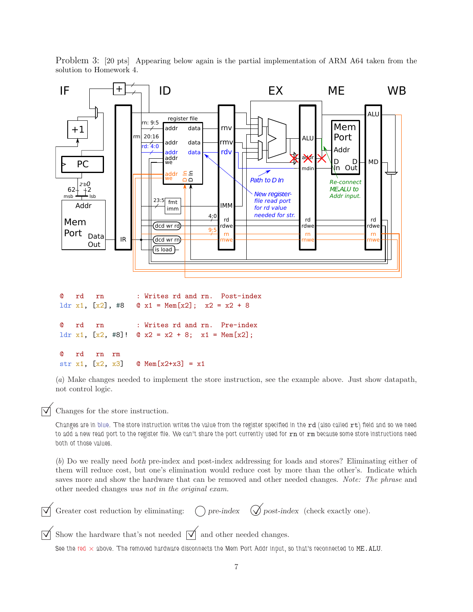

Problem 3: [20 pts] Appearing below again is the partial implementation of ARM A64 taken from the solution to Homework 4.

(*a*) Make changes needed to implement the store instruction, see the example above. Just show datapath, not control logic.

Changes for the store instruction.

Changes are in blue. The store instruction writes the value from the register specified in the rd (also called rt) field and so we need to add a new read port to the register file. We can't share the port currently used for rn or rm because some store instructions need both of those values.

(*b*) Do we really need both pre-index and post-index addressing for loads and stores? Eliminating either of them will reduce cost, but one's elimination would reduce cost by more than the other's. Indicate which saves more and show the hardware that can be removed and other needed changes. *Note: The phrase* and other needed changes *was not in the original exam.*

Greater cost reduction by eliminating:  $\bigcap$  pre-index  $\bigotimes$  post-index (check exactly one).  $\overrightarrow{\mathsf{V}}$  Show the hardware that's not needed  $\overrightarrow{\mathsf{V}}$  and other needed changes.

See the red  $\times$  above. The removed hardware disconnects the Mem Port Addr input, so that's reconnected to ME.ALU.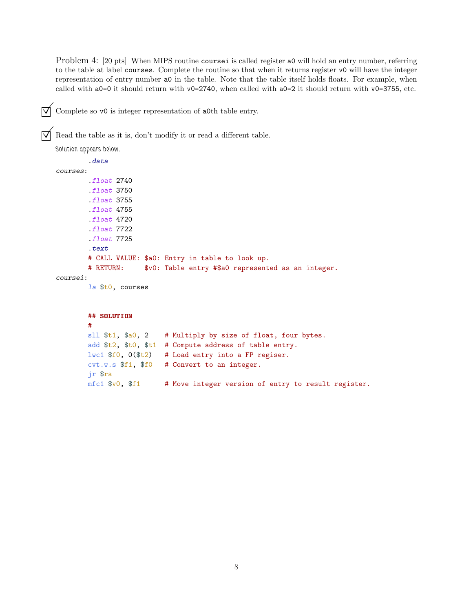Problem 4: [20 pts] When MIPS routine coursei is called register a0 will hold an entry number, referring to the table at label courses. Complete the routine so that when it returns register v0 will have the integer representation of entry number a0 in the table. Note that the table itself holds floats. For example, when called with a0=0 it should return with v0=2740, when called with a0=2 it should return with v0=3755, etc.

 $\triangledown$  Complete so v0 is integer representation of a0th table entry.

 $\overrightarrow{\mathsf{M}}$  Read the table as it is, don't modify it or read a different table.

```
Solution appears below.
      .data
courses:
      .float 2740
      .float 3750
      .float 3755
      .float 4755
      .float 4720
      .float 7722
      .float 7725
      .text
      # CALL VALUE: $a0: Entry in table to look up.
      # RETURN: $v0: Table entry #$a0 represented as an integer.
coursei:
      la $t0, courses
      ## SOLUTION
      #
      sll $t1, $a0, 2 # Multiply by size of float, four bytes.
```
add \$t2, \$t0, \$t1 # Compute address of table entry.  $l$ wc1 \$f0, 0(\$t2) # Load entry into a FP regiser. cvt.w.s \$f1, \$f0 # Convert to an integer. jr \$ra

 $mfc1$  \$v0, \$f1 # Move integer version of entry to result register.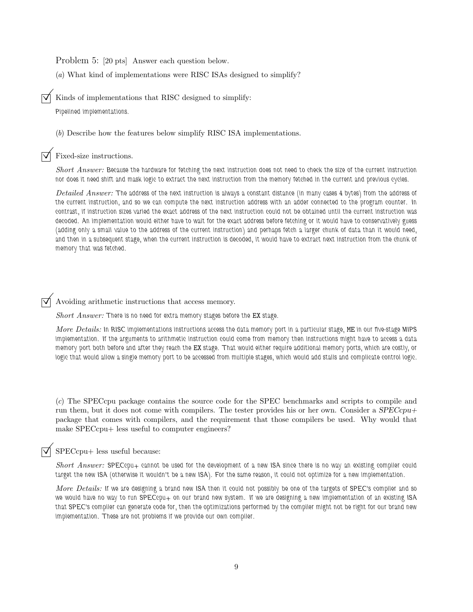Problem 5: [20 pts] Answer each question below.

(*a*) What kind of implementations were RISC ISAs designed to simplify?

 $\triangledown$  Kinds of implementations that RISC designed to simplify:

Pipelined implementations.

(*b*) Describe how the features below simplify RISC ISA implementations.

Fixed-size instructions.

*Short Answer:* Because the hardware for fetching the next instruction does not need to check the size of the current instruction nor does it need shift and mask logic to extract the next instruction from the memory fetched in the current and previous cycles.

*Detailed Answer:* The address of the next instruction is always a constant distance (in many cases 4 bytes) from the address of the current instruction, and so we can compute the next instruction address with an adder connected to the program counter. In contrast, if instruction sizes varied the exact address of the next instruction could not be obtained until the current instruction was decoded. An implementation would either have to wait for the exact address before fetching or it would have to conservatively guess (adding only a small value to the address of the current instruction) and perhaps fetch a larger chunk of data than it would need, and then in a subsequent stage, when the current instruction is decoded, it would have to extract next instruction from the chunk of memory that was fetched.

 $\overrightarrow{A}$  Avoiding arithmetic instructions that access memory.

*Short Answer:* There is no need for extra memory stages before the EX stage.

*More Details:* In RISC implementations instructions access the data memory port in a particular stage, ME in our five-stage MIPS implementation. If the arguments to arithmetic instruction could come from memory then instructions might have to access a data memory port both before and after they reach the EX stage. That would either require additional memory ports, which are costly, or logic that would allow a single memory port to be accessed from multiple stages, which would add stalls and complicate control logic.

(*c*) The SPECcpu package contains the source code for the SPEC benchmarks and scripts to compile and run them, but it does not come with compilers. The tester provides his or her own. Consider a  $SPECcpu+$ package that comes with compilers, and the requirement that those compilers be used. Why would that make SPECcpu+ less useful to computer engineers?

### SPECcpu+ less useful because:

*Short Answer:* SPECcpu+ cannot be used for the development of a new ISA since there is no way an existing compiler could target the new ISA (otherwise it wouldn't be a new ISA). For the same reason, it could not optimize for a new implementation.

*More Details:* If we are designing a brand new ISA then it could not possibly be one of the targets of SPEC's compiler and so we would have no way to run SPECcpu+ on our brand new system. If we are designing a new implementation of an existing ISA that SPEC's compiler can generate code for, then the optimizations performed by the compiler might not be right for our brand new implementation. These are not problems if we provide our own compiler.